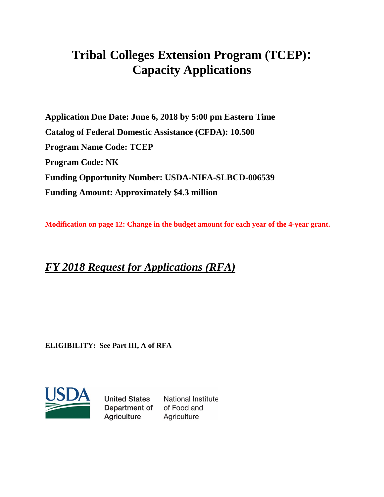# **Tribal Colleges Extension Program (TCEP): Capacity Applications**

**Application Due Date: June 6, 2018 by 5:00 pm Eastern Time Catalog of Federal Domestic Assistance (CFDA): 10.500 Program Name Code: TCEP Program Code: NK Funding Opportunity Number: USDA-NIFA-SLBCD-006539 Funding Amount: Approximately \$4.3 million** 

**Modification on page 12: Change in the budget amount for each year of the 4-year grant.**

## *FY 2018 Request for Applications (RFA)*

**ELIGIBILITY: See Part III, A of RFA**



**United States National Institute** Department of of Food and **Agriculture** Agriculture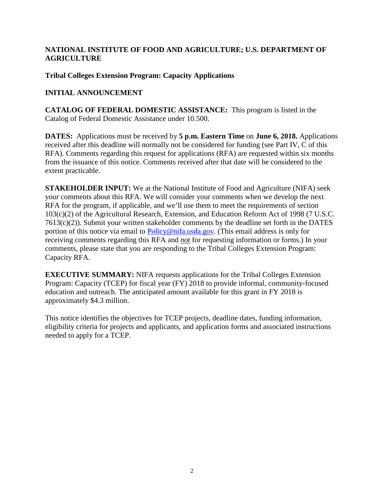#### **NATIONAL INSTITUTE OF FOOD AND AGRICULTURE; U.S. DEPARTMENT OF AGRICULTURE**

## **Tribal Colleges Extension Program: Capacity Applications**

## **INITIAL ANNOUNCEMENT**

**CATALOG OF FEDERAL DOMESTIC ASSISTANCE:** This program is listed in the Catalog of Federal Domestic Assistance under 10.500.

**DATES:** Applications must be received by **5 p.m. Eastern Time** on **June 6, 2018.** Applications received after this deadline will normally not be considered for funding (see Part IV, C of this RFA). Comments regarding this request for applications (RFA) are requested within six months from the issuance of this notice. Comments received after that date will be considered to the extent practicable.

**STAKEHOLDER INPUT:** We at the National Institute of Food and Agriculture (NIFA) seek your comments about this RFA. We will consider your comments when we develop the next RFA for the program, if applicable, and we'll use them to meet the requirements of section 103(c)(2) of the Agricultural Research, Extension, and Education Reform Act of 1998 (7 U.S.C. 7613(c)(2)). Submit your written stakeholder comments by the deadline set forth in the DATES portion of this notice via email to [Policy@nifa.usda.gov.](mailto:Policy@nifa.usda.gov) (This email address is only for receiving comments regarding this RFA and *not* for requesting information or forms.) In your comments, please state that you are responding to the Tribal Colleges Extension Program: Capacity RFA.

**EXECUTIVE SUMMARY:** NIFA requests applications for the Tribal Colleges Extension Program: Capacity (TCEP) for fiscal year (FY) 2018 to provide informal, community-focused education and outreach. The anticipated amount available for this grant in FY 2018 is approximately \$4.3 million.

This notice identifies the objectives for TCEP projects, deadline dates, funding information, eligibility criteria for projects and applicants, and application forms and associated instructions needed to apply for a TCEP.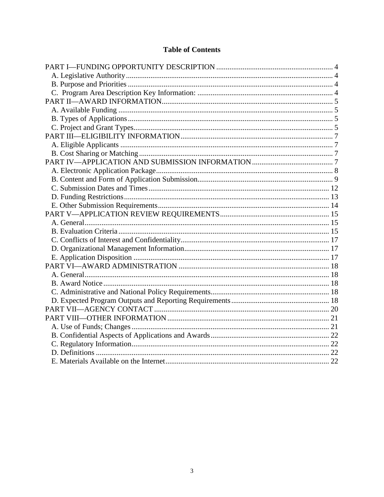## **Table of Contents**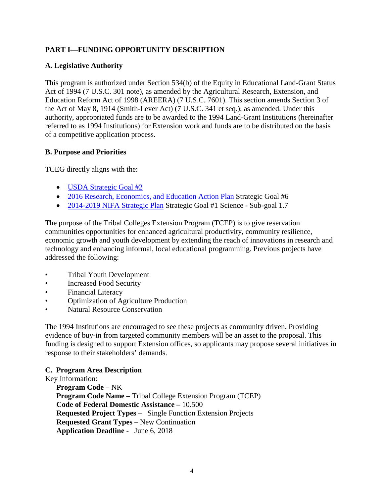## <span id="page-3-0"></span>**PART I—FUNDING OPPORTUNITY DESCRIPTION**

#### <span id="page-3-1"></span>**A. Legislative Authority**

This program is authorized under Section 534(b) of the Equity in Educational Land-Grant Status Act of 1994 (7 U.S.C. 301 note), as amended by the Agricultural Research, Extension, and Education Reform Act of 1998 (AREERA) (7 U.S.C. 7601). This section amends Section 3 of the Act of May 8, 1914 (Smith-Lever Act) (7 U.S.C. 341 et seq.), as amended. Under this authority, appropriated funds are to be awarded to the 1994 Land-Grant Institutions (hereinafter referred to as 1994 Institutions) for Extension work and funds are to be distributed on the basis of a competitive application process.

#### <span id="page-3-2"></span>**B. Purpose and Priorities**

TCEG directly aligns with the:

- [USDA Strategic Goal](https://www.usda.gov/our-agency/about-usda/strategic-goals) #2
- [2016 Research, Economics, and Education Action Plan](https://www.ree.usda.gov/sites/www.ree.usda.gov/files/2017-08/2016USDA_%20REEProgressReportR2.pdf) Strategic Goal #6
- 2014-2019 [NIFA Strategic Plan](https://nifa.usda.gov/sites/default/files/resource/NIFA%20Strategic%20Plan%20FY2014-FY2018.pdf) Strategic Goal #1 Science Sub-goal 1.7

The purpose of the Tribal Colleges Extension Program (TCEP) is to give reservation communities opportunities for enhanced agricultural productivity, community resilience, economic growth and youth development by extending the reach of innovations in research and technology and enhancing informal, local educational programming. Previous projects have addressed the following:

- Tribal Youth Development
- Increased Food Security
- Financial Literacy
- Optimization of Agriculture Production
- **Natural Resource Conservation**

The 1994 Institutions are encouraged to see these projects as community driven. Providing evidence of buy-in from targeted community members will be an asset to the proposal. This funding is designed to support Extension offices, so applicants may propose several initiatives in response to their stakeholders' demands.

#### <span id="page-3-3"></span>**C. Program Area Description**

#### Key Information:

**Program Code –** NK **Program Code Name –** Tribal College Extension Program (TCEP) **Code of Federal Domestic Assistance –** 10.500 **Requested Project Types** – Single Function Extension Projects **Requested Grant Types** – New Continuation **Application Deadline -** June 6, 2018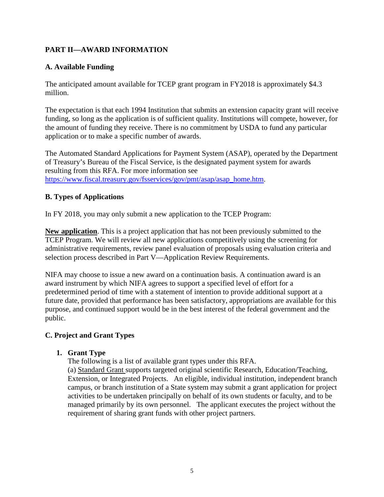## <span id="page-4-0"></span>**PART II—AWARD INFORMATION**

#### <span id="page-4-1"></span>**A. Available Funding**

The anticipated amount available for TCEP grant program in FY2018 is approximately \$4.3 million.

The expectation is that each 1994 Institution that submits an extension capacity grant will receive funding, so long as the application is of sufficient quality. Institutions will compete, however, for the amount of funding they receive. There is no commitment by USDA to fund any particular application or to make a specific number of awards.

The Automated Standard Applications for Payment System (ASAP), operated by the Department of Treasury's Bureau of the Fiscal Service, is the designated payment system for awards resulting from this RFA. For more information see [https://www.fiscal.treasury.gov/fsservices/gov/pmt/asap/asap\\_home.htm.](https://www.fiscal.treasury.gov/fsservices/gov/pmt/asap/asap_home.htm)

#### <span id="page-4-2"></span>**B. Types of Applications**

In FY 2018, you may only submit a new application to the TCEP Program:

**New application**. This is a project application that has not been previously submitted to the TCEP Program. We will review all new applications competitively using the screening for administrative requirements, review panel evaluation of proposals using evaluation criteria and selection process described in Part V—Application Review Requirements.

NIFA may choose to issue a new award on a continuation basis. A continuation award is an award instrument by which NIFA agrees to support a specified level of effort for a predetermined period of time with a statement of intention to provide additional support at a future date, provided that performance has been satisfactory, appropriations are available for this purpose, and continued support would be in the best interest of the federal government and the public.

#### <span id="page-4-3"></span>**C. Project and Grant Types**

#### **1. Grant Type**

The following is a list of available grant types under this RFA.

(a) Standard Grant supports targeted original scientific Research, Education/Teaching, Extension, or Integrated Projects. An eligible, individual institution, independent branch campus, or branch institution of a State system may submit a grant application for project activities to be undertaken principally on behalf of its own students or faculty, and to be managed primarily by its own personnel. The applicant executes the project without the requirement of sharing grant funds with other project partners.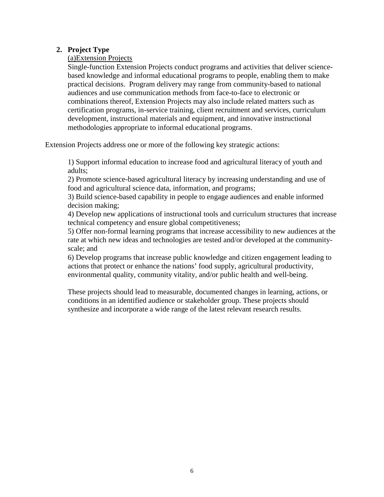#### **2. Project Type**

(a)Extension Projects

Single-function Extension Projects conduct programs and activities that deliver sciencebased knowledge and informal educational programs to people, enabling them to make practical decisions. Program delivery may range from community-based to national audiences and use communication methods from face-to-face to electronic or combinations thereof, Extension Projects may also include related matters such as certification programs, in-service training, client recruitment and services, curriculum development, instructional materials and equipment, and innovative instructional methodologies appropriate to informal educational programs.

Extension Projects address one or more of the following key strategic actions:

1) Support informal education to increase food and agricultural literacy of youth and adults;

2) Promote science-based agricultural literacy by increasing understanding and use of food and agricultural science data, information, and programs;

3) Build science-based capability in people to engage audiences and enable informed decision making;

4) Develop new applications of instructional tools and curriculum structures that increase technical competency and ensure global competitiveness;

5) Offer non-formal learning programs that increase accessibility to new audiences at the rate at which new ideas and technologies are tested and/or developed at the communityscale; and

6) Develop programs that increase public knowledge and citizen engagement leading to actions that protect or enhance the nations' food supply, agricultural productivity, environmental quality, community vitality, and/or public health and well-being.

These projects should lead to measurable, documented changes in learning, actions, or conditions in an identified audience or stakeholder group. These projects should synthesize and incorporate a wide range of the latest relevant research results.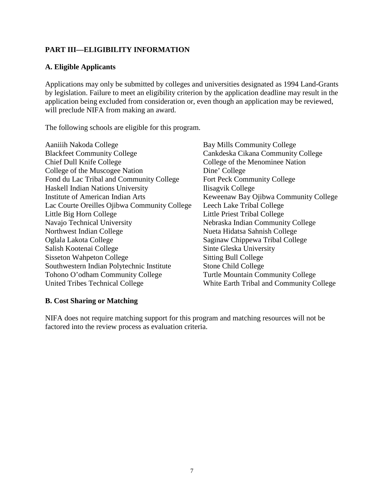## <span id="page-6-0"></span>**PART III—ELIGIBILITY INFORMATION**

#### <span id="page-6-1"></span>**A. Eligible Applicants**

Applications may only be submitted by colleges and universities designated as 1994 Land-Grants by legislation. Failure to meet an eligibility criterion by the application deadline may result in the application being excluded from consideration or, even though an application may be reviewed, will preclude NIFA from making an award.

The following schools are eligible for this program.

| Aaniiih Nakoda College                       |
|----------------------------------------------|
| <b>Blackfeet Community College</b>           |
| Chief Dull Knife College                     |
| College of the Muscogee Nation               |
| Fond du Lac Tribal and Community College     |
| Haskell Indian Nations University            |
| <b>Institute of American Indian Arts</b>     |
| Lac Courte Oreilles Ojibwa Community College |
| Little Big Horn College                      |
| Navajo Technical University                  |
| Northwest Indian College                     |
| Oglala Lakota College                        |
| Salish Kootenai College                      |
| <b>Sisseton Wahpeton College</b>             |
| Southwestern Indian Polytechnic Institute    |
| Tohono O'odham Community College             |
| United Tribes Technical College              |

Bay Mills Community College Cankdeska Cikana Community College College of the Menominee Nation Dine' College Fort Peck Community College Ilisagvik College Keweenaw Bay Ojibwa Community College Leech Lake Tribal College Little Priest Tribal College Nebraska Indian Community College Nueta Hidatsa Sahnish College Saginaw Chippewa Tribal College Sinte Gleska University Sitting Bull College Stone Child College Turtle Mountain Community College White Earth Tribal and Community College

#### <span id="page-6-3"></span><span id="page-6-2"></span>**B. Cost Sharing or Matching**

NIFA does not require matching support for this program and matching resources will not be factored into the review process as evaluation criteria.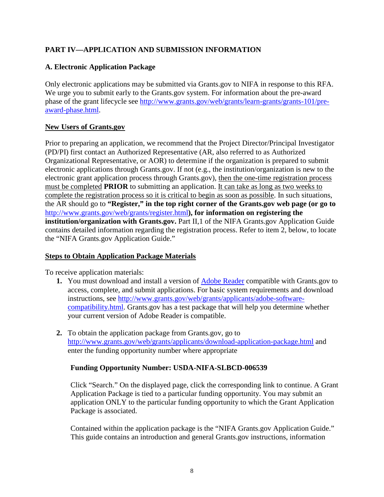## **PART IV—APPLICATION AND SUBMISSION INFORMATION**

## <span id="page-7-0"></span>**A. Electronic Application Package**

Only electronic applications may be submitted via Grants.gov to NIFA in response to this RFA. We urge you to submit early to the Grants.gov system. For information about the pre-award phase of the grant lifecycle see [http://www.grants.gov/web/grants/learn-grants/grants-101/pre](http://www.grants.gov/web/grants/learn-grants/grants-101/pre-award-phase.html)[award-phase.html.](http://www.grants.gov/web/grants/learn-grants/grants-101/pre-award-phase.html)

#### **New Users of Grants.gov**

Prior to preparing an application, we recommend that the Project Director/Principal Investigator (PD/PI) first contact an Authorized Representative (AR, also referred to as Authorized Organizational Representative, or AOR) to determine if the organization is prepared to submit electronic applications through Grants.gov. If not (e.g., the institution/organization is new to the electronic grant application process through Grants.gov), then the one-time registration process must be completed **PRIOR** to submitting an application. It can take as long as two weeks to complete the registration process so it is critical to begin as soon as possible. In such situations, the AR should go to **"Register," in the top right corner of the Grants.gov web page (or go to**  <http://www.grants.gov/web/grants/register.html>**), for information on registering the institution/organization with Grants.gov.** Part II, 1 of the NIFA Grants.gov Application Guide contains detailed information regarding the registration process. Refer to item 2, below, to locate the "NIFA Grants.gov Application Guide."

#### **Steps to Obtain Application Package Materials**

To receive application materials:

- **1.** You must download and install a version of [Adobe Reader](https://get.adobe.com/reader/) compatible with Grants.gov to access, complete, and submit applications. For basic system requirements and download instructions, see [http://www.grants.gov/web/grants/applicants/adobe-software](http://www.grants.gov/web/grants/applicants/adobe-software-compatibility.html)[compatibility.html.](http://www.grants.gov/web/grants/applicants/adobe-software-compatibility.html) Grants.gov has a test package that will help you determine whether your current version of Adobe Reader is compatible.
- **2.** To obtain the application package from Grants.gov, go to <http://www.grants.gov/web/grants/applicants/download-application-package.html> and enter the funding opportunity number where appropriate

#### **Funding Opportunity Number: USDA-NIFA-SLBCD-006539**

Click "Search." On the displayed page, click the corresponding link to continue. A Grant Application Package is tied to a particular funding opportunity. You may submit an application ONLY to the particular funding opportunity to which the Grant Application Package is associated.

Contained within the application package is the "NIFA Grants.gov Application Guide." This guide contains an introduction and general Grants.gov instructions, information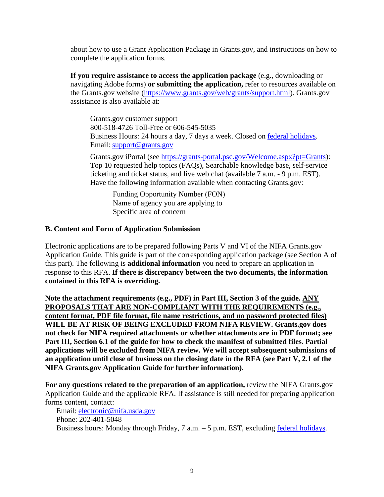about how to use a Grant Application Package in Grants.gov, and instructions on how to complete the application forms.

**If you require assistance to access the application package** (e.g., downloading or navigating Adobe forms) **or submitting the application,** refer to resources available on the Grants.gov website [\(https://www.grants.gov/web/grants/support.html\)](https://www.grants.gov/web/grants/support.html). Grants.gov assistance is also available at:

Grants.gov customer support 800-518-4726 Toll-Free or 606-545-5035 Business Hours: 24 hours a day, 7 days a week. Closed on [federal holidays.](http://www.opm.gov/policy-data-oversight/snow-dismissal-procedures/federal-holidays/) Email: [support@grants.gov](mailto:support@grants.gov)

Grants.gov iPortal (see [https://grants-portal.psc.gov/Welcome.aspx?pt=Grants\)](https://grants-portal.psc.gov/Welcome.aspx?pt=Grants): Top 10 requested help topics (FAQs), Searchable knowledge base, self-service ticketing and ticket status, and live web chat (available 7 a.m. - 9 p.m. EST). Have the following information available when contacting Grants.gov:

Funding Opportunity Number (FON) Name of agency you are applying to Specific area of concern

#### <span id="page-8-0"></span>**B. Content and Form of Application Submission**

Electronic applications are to be prepared following Parts V and VI of the NIFA Grants.gov Application Guide. This guide is part of the corresponding application package (see Section A of this part). The following is **additional information** you need to prepare an application in response to this RFA. **If there is discrepancy between the two documents, the information contained in this RFA is overriding.**

**Note the attachment requirements (e.g., PDF) in Part III, Section 3 of the guide. ANY PROPOSALS THAT ARE NON-COMPLIANT WITH THE REQUIREMENTS (e.g., content format, PDF file format, file name restrictions, and no password protected files) WILL BE AT RISK OF BEING EXCLUDED FROM NIFA REVIEW. Grants.gov does not check for NIFA required attachments or whether attachments are in PDF format; see Part III, Section 6.1 of the guide for how to check the manifest of submitted files. Partial applications will be excluded from NIFA review. We will accept subsequent submissions of an application until close of business on the closing date in the RFA (see Part V, 2.1 of the NIFA Grants.gov Application Guide for further information).**

**For any questions related to the preparation of an application,** review the NIFA Grants.gov Application Guide and the applicable RFA. If assistance is still needed for preparing application forms content, contact:

Email: [electronic@nifa.usda.gov](mailto:electronic@nifa.usda.gov)  Phone: 202-401-5048 Business hours: Monday through Friday, 7 a.m. – 5 p.m. EST, excluding [federal holidays.](https://www.opm.gov/policy-data-oversight/snow-dismissal-procedures/federal-holidays/)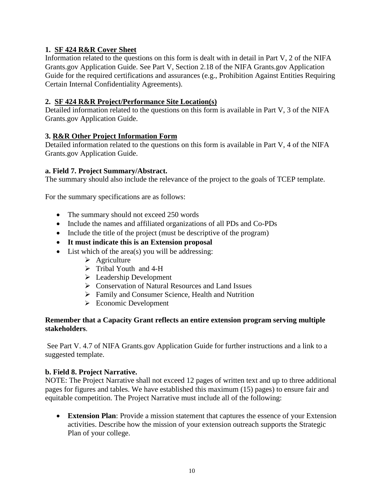## **1. SF 424 R&R Cover Sheet**

Information related to the questions on this form is dealt with in detail in Part V, 2 of the NIFA Grants.gov Application Guide. See Part V, Section 2.18 of the NIFA Grants.gov Application Guide for the required certifications and assurances (e.g., Prohibition Against Entities Requiring Certain Internal Confidentiality Agreements).

#### **2. SF 424 R&R Project/Performance Site Location(s)**

Detailed information related to the questions on this form is available in Part V, 3 of the NIFA Grants.gov Application Guide.

## **3. R&R Other Project Information Form**

Detailed information related to the questions on this form is available in Part V, 4 of the NIFA Grants.gov Application Guide.

#### **a. Field 7. Project Summary/Abstract.**

The summary should also include the relevance of the project to the goals of TCEP template.

For the summary specifications are as follows:

- The summary should not exceed 250 words
- Include the names and affiliated organizations of all PDs and Co-PDs
- Include the title of the project (must be descriptive of the program)
- **It must indicate this is an Extension proposal**
- List which of the area(s) you will be addressing:
	- $\triangleright$  Agriculture
	- > Tribal Youth and 4-H
	- $\triangleright$  Leadership Development
	- Conservation of Natural Resources and Land Issues
	- Family and Consumer Science, Health and Nutrition
	- Economic Development

#### **Remember that a Capacity Grant reflects an entire extension program serving multiple stakeholders**.

See Part V. 4.7 of NIFA Grants.gov Application Guide for further instructions and a link to a suggested template.

#### **b. Field 8. Project Narrative.**

NOTE: The Project Narrative shall not exceed 12 pages of written text and up to three additional pages for figures and tables. We have established this maximum (15) pages) to ensure fair and equitable competition. The Project Narrative must include all of the following:

• **Extension Plan**: Provide a mission statement that captures the essence of your Extension activities. Describe how the mission of your extension outreach supports the Strategic Plan of your college.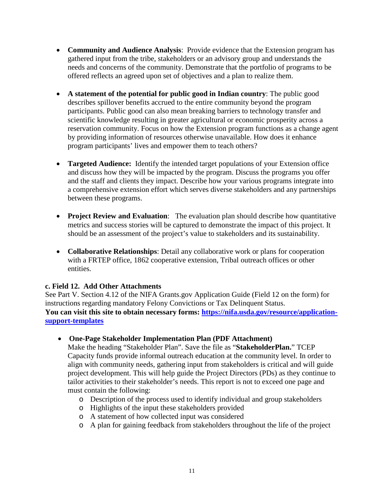- **Community and Audience Analysis**: Provide evidence that the Extension program has gathered input from the tribe, stakeholders or an advisory group and understands the needs and concerns of the community. Demonstrate that the portfolio of programs to be offered reflects an agreed upon set of objectives and a plan to realize them.
- **A statement of the potential for public good in Indian country**: The public good describes spillover benefits accrued to the entire community beyond the program participants. Public good can also mean breaking barriers to technology transfer and scientific knowledge resulting in greater agricultural or economic prosperity across a reservation community. Focus on how the Extension program functions as a change agent by providing information of resources otherwise unavailable. How does it enhance program participants' lives and empower them to teach others?
- **Targeted Audience:** Identify the intended target populations of your Extension office and discuss how they will be impacted by the program. Discuss the programs you offer and the staff and clients they impact. Describe how your various programs integrate into a comprehensive extension effort which serves diverse stakeholders and any partnerships between these programs.
- **Project Review and Evaluation**: The evaluation plan should describe how quantitative metrics and success stories will be captured to demonstrate the impact of this project. It should be an assessment of the project's value to stakeholders and its sustainability.
- **Collaborative Relationships**: Detail any collaborative work or plans for cooperation with a FRTEP office, 1862 cooperative extension, Tribal outreach offices or other entities.

#### **c. Field 12. Add Other Attachments**

See Part V. Section 4.12 of the NIFA Grants.gov Application Guide (Field 12 on the form) for instructions regarding mandatory Felony Convictions or Tax Delinquent Status. **You can visit this site to obtain necessary forms: [https://nifa.usda.gov/resource/application](https://nifa.usda.gov/resource/application-support-templates)[support-templates](https://nifa.usda.gov/resource/application-support-templates)**

#### • **One-Page Stakeholder Implementation Plan (PDF Attachment)**

Make the heading "Stakeholder Plan". Save the file as "**StakeholderPlan.**" TCEP Capacity funds provide informal outreach education at the community level. In order to align with community needs, gathering input from stakeholders is critical and will guide project development. This will help guide the Project Directors (PDs) as they continue to tailor activities to their stakeholder's needs. This report is not to exceed one page and must contain the following:

- o Description of the process used to identify individual and group stakeholders
- o Highlights of the input these stakeholders provided
- o A statement of how collected input was considered
- o A plan for gaining feedback from stakeholders throughout the life of the project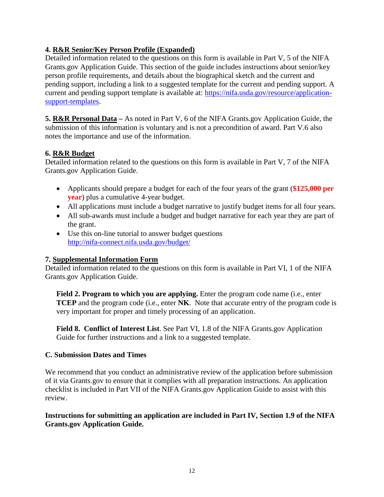## **4. R&R Senior/Key Person Profile (Expanded)**

Detailed information related to the questions on this form is available in Part V, 5 of the NIFA Grants.gov Application Guide. This section of the guide includes instructions about senior/key person profile requirements, and details about the biographical sketch and the current and pending support, including a link to a suggested template for the current and pending support. A current and pending support template is available at: [https://nifa.usda.gov/resource/application](https://nifa.usda.gov/resource/application-support-templates)[support-templates.](https://nifa.usda.gov/resource/application-support-templates)

**5. R&R Personal Data –** As noted in Part V, 6 of the NIFA Grants.gov Application Guide, the submission of this information is voluntary and is not a precondition of award. Part V.6 also notes the importance and use of the information.

## **6. R&R Budget**

Detailed information related to the questions on this form is available in Part V, 7 of the NIFA Grants.gov Application Guide.

- Applicants should prepare a budget for each of the four years of the grant (**\$125,000 per year**) plus a cumulative 4-year budget.
- All applications must include a budget narrative to justify budget items for all four years.
- All sub-awards must include a budget and budget narrative for each year they are part of the grant.
- Use this on-line tutorial to answer budget questions <http://nifa-connect.nifa.usda.gov/budget/>

#### **7. Supplemental Information Form**

Detailed information related to the questions on this form is available in Part VI, 1 of the NIFA Grants.gov Application Guide.

**Field 2. Program to which you are applying.** Enter the program code name (i.e., enter **TCEP** and the program code (i.e., enter **NK**. Note that accurate entry of the program code is very important for proper and timely processing of an application.

**Field 8. Conflict of Interest List**. See Part VI, 1.8 of the NIFA Grants.gov Application Guide for further instructions and a link to a suggested template.

#### <span id="page-11-0"></span>**C. Submission Dates and Times**

We recommend that you conduct an administrative review of the application before submission of it via Grants.gov to ensure that it complies with all preparation instructions. An application checklist is included in Part VII of the NIFA Grants.gov Application Guide to assist with this review.

**Instructions for submitting an application are included in Part IV, Section 1.9 of the NIFA Grants.gov Application Guide.**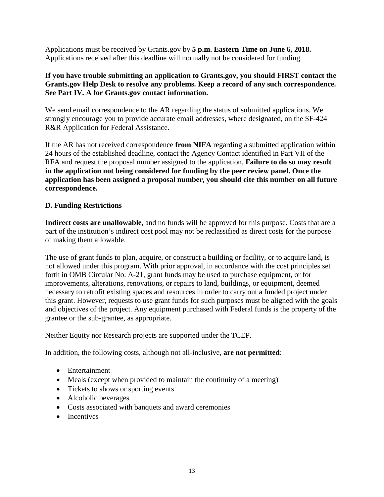Applications must be received by Grants.gov by **5 p.m. Eastern Time on June 6, 2018.** Applications received after this deadline will normally not be considered for funding.

## **If you have trouble submitting an application to Grants.gov, you should FIRST contact the Grants.gov Help Desk to resolve any problems. Keep a record of any such correspondence. See Part IV. A for Grants.gov contact information.**

We send email correspondence to the AR regarding the status of submitted applications. We strongly encourage you to provide accurate email addresses, where designated, on the SF-424 R&R Application for Federal Assistance.

If the AR has not received correspondence **from NIFA** regarding a submitted application within 24 hours of the established deadline, contact the Agency Contact identified in Part VII of the RFA and request the proposal number assigned to the application. **Failure to do so may result in the application not being considered for funding by the peer review panel. Once the application has been assigned a proposal number, you should cite this number on all future correspondence.**

## <span id="page-12-0"></span>**D. Funding Restrictions**

**Indirect costs are unallowable**, and no funds will be approved for this purpose. Costs that are a part of the institution's indirect cost pool may not be reclassified as direct costs for the purpose of making them allowable.

The use of grant funds to plan, acquire, or construct a building or facility, or to acquire land, is not allowed under this program. With prior approval, in accordance with the cost principles set forth in OMB Circular No. A-21, grant funds may be used to purchase equipment, or for improvements, alterations, renovations, or repairs to land, buildings, or equipment, deemed necessary to retrofit existing spaces and resources in order to carry out a funded project under this grant. However, requests to use grant funds for such purposes must be aligned with the goals and objectives of the project. Any equipment purchased with Federal funds is the property of the grantee or the sub-grantee, as appropriate.

Neither Equity nor Research projects are supported under the TCEP.

In addition, the following costs, although not all-inclusive, **are not permitted**:

- Entertainment
- Meals (except when provided to maintain the continuity of a meeting)
- Tickets to shows or sporting events
- Alcoholic beverages
- Costs associated with banquets and award ceremonies
- <span id="page-12-1"></span>• Incentives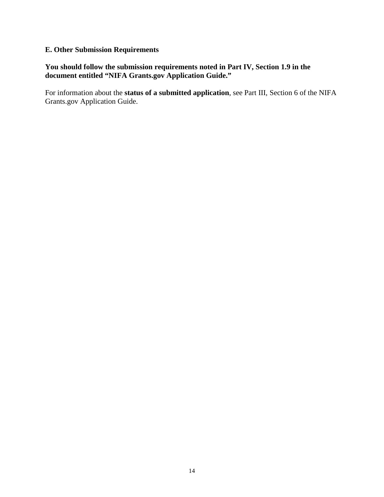## **E. Other Submission Requirements**

#### **You should follow the submission requirements noted in Part IV, Section 1.9 in the document entitled "NIFA Grants.gov Application Guide."**

For information about the **status of a submitted application**, see Part III, Section 6 of the NIFA Grants.gov Application Guide.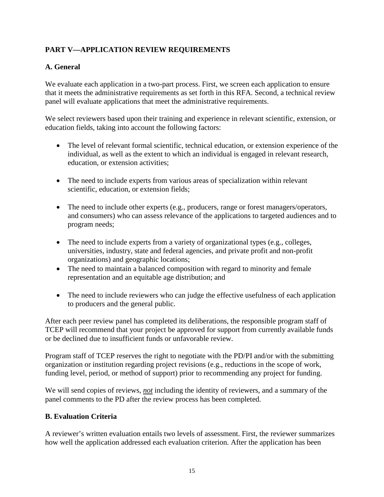## <span id="page-14-0"></span>**PART V—APPLICATION REVIEW REQUIREMENTS**

## <span id="page-14-1"></span>**A. General**

We evaluate each application in a two-part process. First, we screen each application to ensure that it meets the administrative requirements as set forth in this RFA. Second, a technical review panel will evaluate applications that meet the administrative requirements.

We select reviewers based upon their training and experience in relevant scientific, extension, or education fields, taking into account the following factors:

- The level of relevant formal scientific, technical education, or extension experience of the individual, as well as the extent to which an individual is engaged in relevant research, education, or extension activities;
- The need to include experts from various areas of specialization within relevant scientific, education, or extension fields;
- The need to include other experts (e.g., producers, range or forest managers/operators, and consumers) who can assess relevance of the applications to targeted audiences and to program needs;
- The need to include experts from a variety of organizational types (e.g., colleges, universities, industry, state and federal agencies, and private profit and non-profit organizations) and geographic locations;
- The need to maintain a balanced composition with regard to minority and female representation and an equitable age distribution; and
- The need to include reviewers who can judge the effective usefulness of each application to producers and the general public.

After each peer review panel has completed its deliberations, the responsible program staff of TCEP will recommend that your project be approved for support from currently available funds or be declined due to insufficient funds or unfavorable review.

Program staff of TCEP reserves the right to negotiate with the PD/PI and/or with the submitting organization or institution regarding project revisions (e.g., reductions in the scope of work, funding level, period, or method of support) prior to recommending any project for funding.

We will send copies of reviews, *not* including the identity of reviewers, and a summary of the panel comments to the PD after the review process has been completed.

#### <span id="page-14-2"></span>**B. Evaluation Criteria**

A reviewer's written evaluation entails two levels of assessment. First, the reviewer summarizes how well the application addressed each evaluation criterion. After the application has been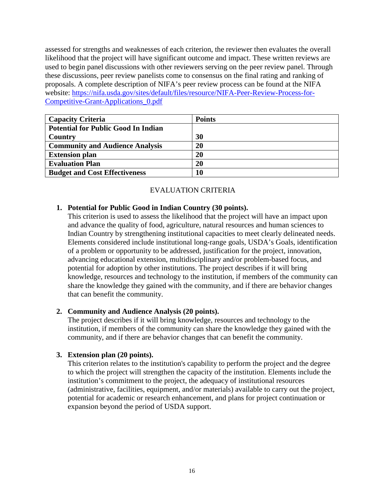assessed for strengths and weaknesses of each criterion, the reviewer then evaluates the overall likelihood that the project will have significant outcome and impact. These written reviews are used to begin panel discussions with other reviewers serving on the peer review panel. Through these discussions, peer review panelists come to consensus on the final rating and ranking of proposals. A complete description of NIFA's peer review process can be found at the NIFA website: [https://nifa.usda.gov/sites/default/files/resource/NIFA-Peer-Review-Process-for-](https://nifa.usda.gov/sites/default/files/resource/NIFA-Peer-Review-Process-for-Competitive-Grant-Applications_0.pdf)[Competitive-Grant-Applications\\_0.pdf](https://nifa.usda.gov/sites/default/files/resource/NIFA-Peer-Review-Process-for-Competitive-Grant-Applications_0.pdf)

| <b>Capacity Criteria</b>                   | <b>Points</b> |
|--------------------------------------------|---------------|
| <b>Potential for Public Good In Indian</b> |               |
| Country                                    | 30            |
| <b>Community and Audience Analysis</b>     | 20            |
| <b>Extension plan</b>                      | 20            |
| <b>Evaluation Plan</b>                     | 20            |
| <b>Budget and Cost Effectiveness</b>       | 10            |

#### EVALUATION CRITERIA

#### **1. Potential for Public Good in Indian Country (30 points).**

This criterion is used to assess the likelihood that the project will have an impact upon and advance the quality of food, agriculture, natural resources and human sciences to Indian Country by strengthening institutional capacities to meet clearly delineated needs. Elements considered include institutional long-range goals, USDA's Goals, identification of a problem or opportunity to be addressed, justification for the project, innovation, advancing educational extension, multidisciplinary and/or problem-based focus, and potential for adoption by other institutions. The project describes if it will bring knowledge, resources and technology to the institution, if members of the community can share the knowledge they gained with the community, and if there are behavior changes that can benefit the community.

#### **2. Community and Audience Analysis (20 points).**

The project describes if it will bring knowledge, resources and technology to the institution, if members of the community can share the knowledge they gained with the community, and if there are behavior changes that can benefit the community.

#### **3. Extension plan (20 points).**

This criterion relates to the institution's capability to perform the project and the degree to which the project will strengthen the capacity of the institution. Elements include the institution's commitment to the project, the adequacy of institutional resources (administrative, facilities, equipment, and/or materials) available to carry out the project, potential for academic or research enhancement, and plans for project continuation or expansion beyond the period of USDA support.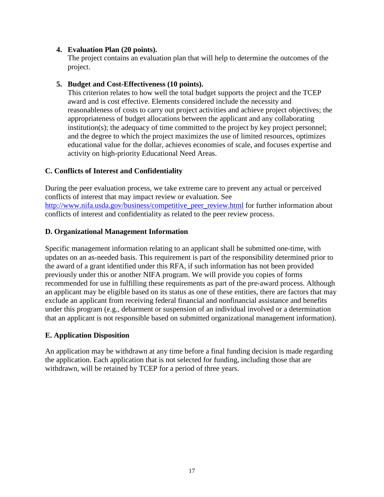#### **4. Evaluation Plan (20 points).**

The project contains an evaluation plan that will help to determine the outcomes of the project.

#### **5. Budget and Cost-Effectiveness (10 points).**

This criterion relates to how well the total budget supports the project and the TCEP award and is cost effective. Elements considered include the necessity and reasonableness of costs to carry out project activities and achieve project objectives; the appropriateness of budget allocations between the applicant and any collaborating institution(s); the adequacy of time committed to the project by key project personnel; and the degree to which the project maximizes the use of limited resources, optimizes educational value for the dollar, achieves economies of scale, and focuses expertise and activity on high-priority Educational Need Areas.

#### <span id="page-16-0"></span>**C. Conflicts of Interest and Confidentiality**

During the peer evaluation process, we take extreme care to prevent any actual or perceived conflicts of interest that may impact review or evaluation. See [http://www.nifa.usda.gov/business/competitive\\_peer\\_review.html](http://www.nifa.usda.gov/business/competitive_peer_review.html) for further information about conflicts of interest and confidentiality as related to the peer review process.

#### <span id="page-16-1"></span>**D. Organizational Management Information**

Specific management information relating to an applicant shall be submitted one-time, with updates on an as-needed basis. This requirement is part of the responsibility determined prior to the award of a grant identified under this RFA, if such information has not been provided previously under this or another NIFA program. We will provide you copies of forms recommended for use in fulfilling these requirements as part of the pre-award process. Although an applicant may be eligible based on its status as one of these entities, there are factors that may exclude an applicant from receiving federal financial and nonfinancial assistance and benefits under this program (e.g., debarment or suspension of an individual involved or a determination that an applicant is not responsible based on submitted organizational management information).

#### <span id="page-16-2"></span>**E. Application Disposition**

An application may be withdrawn at any time before a final funding decision is made regarding the application. Each application that is not selected for funding, including those that are withdrawn, will be retained by TCEP for a period of three years.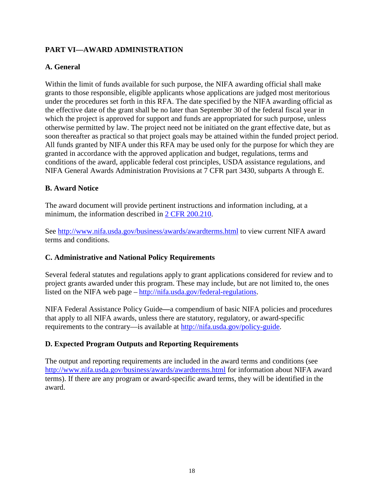## <span id="page-17-0"></span>**PART VI—AWARD ADMINISTRATION**

## <span id="page-17-1"></span>**A. General**

Within the limit of funds available for such purpose, the NIFA awarding official shall make grants to those responsible, eligible applicants whose applications are judged most meritorious under the procedures set forth in this RFA. The date specified by the NIFA awarding official as the effective date of the grant shall be no later than September 30 of the federal fiscal year in which the project is approved for support and funds are appropriated for such purpose, unless otherwise permitted by law. The project need not be initiated on the grant effective date, but as soon thereafter as practical so that project goals may be attained within the funded project period. All funds granted by NIFA under this RFA may be used only for the purpose for which they are granted in accordance with the approved application and budget, regulations, terms and conditions of the award, applicable federal cost principles, USDA assistance regulations, and NIFA General Awards Administration Provisions at 7 CFR part 3430, subparts A through E.

#### <span id="page-17-2"></span>**B. Award Notice**

The award document will provide pertinent instructions and information including, at a minimum, the information described in [2 CFR 200.210.](http://www.ecfr.gov/cgi-bin/text-idx?SID=70b44cfc44976f4a7742464f7cfbb37e&mc=true&node=se2.1.200_1210&rgn=div8)

See<http://www.nifa.usda.gov/business/awards/awardterms.html> to view current NIFA award terms and conditions.

#### <span id="page-17-3"></span>**C. Administrative and National Policy Requirements**

Several federal statutes and regulations apply to grant applications considered for review and to project grants awarded under this program. These may include, but are not limited to, the ones listed on the NIFA web page – [http://nifa.usda.gov/federal-regulations.](http://nifa.usda.gov/federal-regulations)

NIFA Federal Assistance Policy Guide**—**a compendium of basic NIFA policies and procedures that apply to all NIFA awards, unless there are statutory, regulatory, or award-specific requirements to the contrary—is available at [http://nifa.usda.gov/policy-guide.](http://nifa.usda.gov/policy-guide)

## <span id="page-17-4"></span>**D. Expected Program Outputs and Reporting Requirements**

The output and reporting requirements are included in the award terms and conditions (see <http://www.nifa.usda.gov/business/awards/awardterms.html> for information about NIFA award terms). If there are any program or award-specific award terms, they will be identified in the award.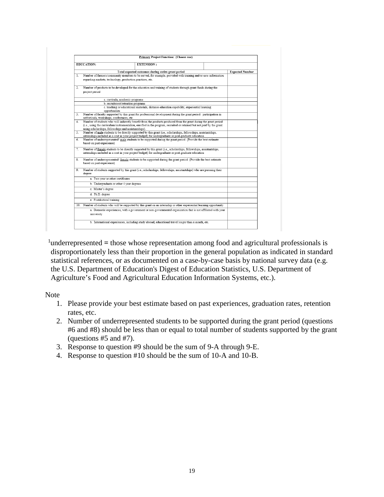|    | Primary Project Function: (Choose one)                                                                                                                                                                                    |                                                                                                                        |  |                        |  |  |  |
|----|---------------------------------------------------------------------------------------------------------------------------------------------------------------------------------------------------------------------------|------------------------------------------------------------------------------------------------------------------------|--|------------------------|--|--|--|
|    | <b>EDUCATION:</b>                                                                                                                                                                                                         | <b>EXTENSION:</b>                                                                                                      |  |                        |  |  |  |
|    |                                                                                                                                                                                                                           | Total expected outcomes during entire grant period                                                                     |  | <b>Expected Number</b> |  |  |  |
| 1  |                                                                                                                                                                                                                           | Number of farmers/community members to be served, for example, provided with training and/or new information           |  |                        |  |  |  |
|    | regarding markets, technology, production practices, etc.                                                                                                                                                                 |                                                                                                                        |  |                        |  |  |  |
| 2. |                                                                                                                                                                                                                           | Number of products to be developed for the education and training of students through grant funds during the           |  |                        |  |  |  |
|    | project period                                                                                                                                                                                                            |                                                                                                                        |  |                        |  |  |  |
|    | a. curricula, academic programs                                                                                                                                                                                           |                                                                                                                        |  |                        |  |  |  |
|    | b. recruitment/retention programs                                                                                                                                                                                         |                                                                                                                        |  |                        |  |  |  |
|    | opportunities                                                                                                                                                                                                             | c. teaching or educational materials, distance education capability, experiential learning                             |  |                        |  |  |  |
| 3. | Number of faculty supported by this grant for professional development during the grant period: participation in<br>sabbaticals, workshops, conferences, etc.                                                             |                                                                                                                        |  |                        |  |  |  |
| 4. |                                                                                                                                                                                                                           | Number of students who will indirectly benefit from the products produced from the grant during the grant period       |  |                        |  |  |  |
|    | (i.e., using the curriculum/instrumentation, enrolled in the program, recruited or retained but not paid by the grant                                                                                                     |                                                                                                                        |  |                        |  |  |  |
|    | using scholarships, fellowships and assistantships).                                                                                                                                                                      |                                                                                                                        |  |                        |  |  |  |
| 5. | Number of male students to be directly supported by this grant (i.e., scholarships, fellowships, assistantships,                                                                                                          |                                                                                                                        |  |                        |  |  |  |
|    | internships included as a cost in your project budget) for undergraduate or post-graduate education                                                                                                                       |                                                                                                                        |  |                        |  |  |  |
| 6. | Number of underrepresented <sup>1</sup> male students to be supported during the grant period (Provide the best estimate<br>based on past experience)                                                                     |                                                                                                                        |  |                        |  |  |  |
| 7. | Number of female students to be directly supported by this grant (i.e., scholarships, fellowships, assistantships,<br>internships included as a cost in your project budget) for undergraduate or post-graduate education |                                                                                                                        |  |                        |  |  |  |
| 8. | Number of underrepresented <sup>1</sup> female students to be supported during the grant period (Provide the best estimate<br>based on past experience)                                                                   |                                                                                                                        |  |                        |  |  |  |
| 9. | degree                                                                                                                                                                                                                    | Number of students supported by this grant (i.e., scholarships, fellowships, assistantships) who are pursuing their    |  |                        |  |  |  |
|    | a. Two year or other certificates                                                                                                                                                                                         |                                                                                                                        |  |                        |  |  |  |
|    | b. Undergraduate or other 4 year degrees                                                                                                                                                                                  |                                                                                                                        |  |                        |  |  |  |
|    | c. Master's degree                                                                                                                                                                                                        |                                                                                                                        |  |                        |  |  |  |
|    | d. Ph.D. degree                                                                                                                                                                                                           |                                                                                                                        |  |                        |  |  |  |
|    | e. Postdoctoral training                                                                                                                                                                                                  | 10. Number of students who will be supported by this grant on an internship or other experiential learning opportunity |  |                        |  |  |  |
|    |                                                                                                                                                                                                                           |                                                                                                                        |  |                        |  |  |  |
|    | university                                                                                                                                                                                                                | a. Domestic experiences, with a government or non-governmental organization that is not affiliated with your           |  |                        |  |  |  |
|    |                                                                                                                                                                                                                           | b. International experiences, including study abroad, educational travel longer than a month, etc.                     |  |                        |  |  |  |

<sup>1</sup>underrepresented = those whose representation among food and agricultural professionals is disproportionately less than their proportion in the general population as indicated in standard statistical references, or as documented on a case-by-case basis by national survey data (e.g. the U.S. Department of Education's Digest of Education Statistics, U.S. Department of Agriculture's Food and Agricultural Education Information Systems, etc.).

Note

- 1. Please provide your best estimate based on past experiences, graduation rates, retention rates, etc.
- 2. Number of underrepresented students to be supported during the grant period (questions #6 and #8) should be less than or equal to total number of students supported by the grant (questions #5 and #7).
- 3. Response to question #9 should be the sum of 9-A through 9-E.
- 4. Response to question #10 should be the sum of 10-A and 10-B.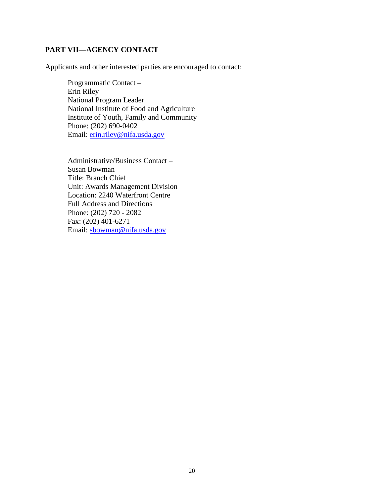## <span id="page-19-0"></span>**PART VII—AGENCY CONTACT**

Applicants and other interested parties are encouraged to contact:

Programmatic Contact – Erin Riley National Program Leader National Institute of Food and Agriculture Institute of Youth, Family and Community Phone: (202) 690-0402 Email: [erin.riley@nifa.usda.gov](mailto:erin.riley@nifa.usda.gov)

Administrative/Business Contact – Susan Bowman Title: Branch Chief Unit: Awards Management Division Location: 2240 Waterfront Centre Full Address and Directions Phone: (202) 720 - 2082 Fax: (202) 401-6271 Email: [sbowman@nifa.usda.gov](mailto:sbowman@nifa.usda.gov)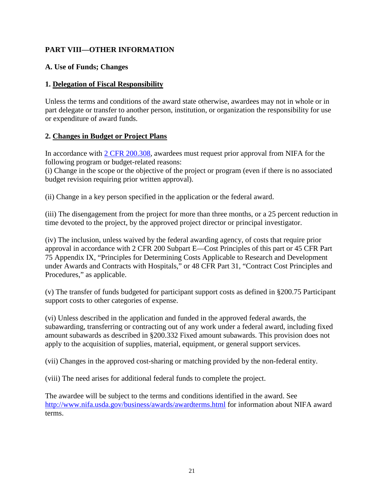## <span id="page-20-0"></span>**PART VIII—OTHER INFORMATION**

## <span id="page-20-1"></span>**A. Use of Funds; Changes**

## **1. Delegation of Fiscal Responsibility**

Unless the terms and conditions of the award state otherwise, awardees may not in whole or in part delegate or transfer to another person, institution, or organization the responsibility for use or expenditure of award funds.

## **2. Changes in Budget or Project Plans**

In accordance with [2 CFR 200.308,](http://www.ecfr.gov/cgi-bin/text-idx?SID=3af89506559b05297e7d0334cb283e24&mc=true&node=se2.1.200_1308&rgn=div8) awardees must request prior approval from NIFA for the following program or budget-related reasons:

(i) Change in the scope or the objective of the project or program (even if there is no associated budget revision requiring prior written approval).

(ii) Change in a key person specified in the application or the federal award.

(iii) The disengagement from the project for more than three months, or a 25 percent reduction in time devoted to the project, by the approved project director or principal investigator.

(iv) The inclusion, unless waived by the federal awarding agency, of costs that require prior approval in accordance with 2 CFR 200 Subpart E—Cost Principles of this part or 45 CFR Part 75 Appendix IX, "Principles for Determining Costs Applicable to Research and Development under Awards and Contracts with Hospitals," or 48 CFR Part 31, "Contract Cost Principles and Procedures," as applicable.

(v) The transfer of funds budgeted for participant support costs as defined in §200.75 Participant support costs to other categories of expense.

(vi) Unless described in the application and funded in the approved federal awards, the subawarding, transferring or contracting out of any work under a federal award, including fixed amount subawards as described in §200.332 Fixed amount subawards. This provision does not apply to the acquisition of supplies, material, equipment, or general support services.

(vii) Changes in the approved cost-sharing or matching provided by the non-federal entity.

(viii) The need arises for additional federal funds to complete the project.

<span id="page-20-2"></span>The awardee will be subject to the terms and conditions identified in the award. See <http://www.nifa.usda.gov/business/awards/awardterms.html> for information about NIFA award terms.